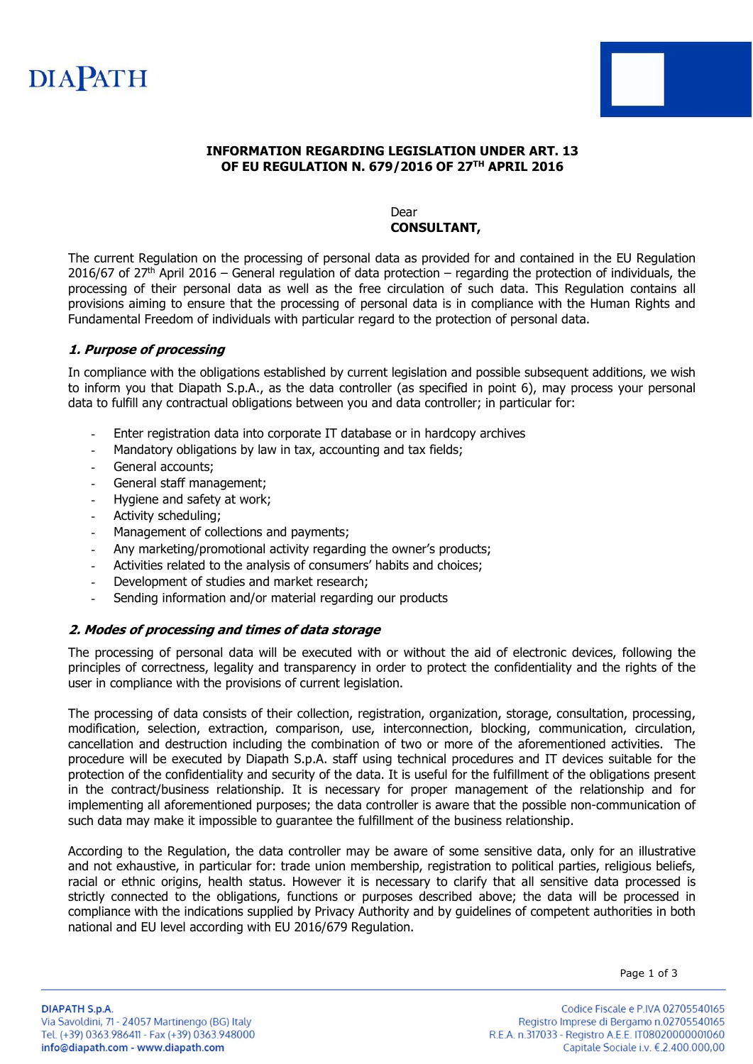



### INFORMATION REGARDING LEGISLATION UNDER ART. 13 OF EU REGULATION N. 679/2016 OF 27TH APRIL 2016

#### Dear CONSULTANT,

The current Regulation on the processing of personal data as provided for and contained in the EU Regulation 2016/67 of 27<sup>th</sup> April 2016 – General regulation of data protection – regarding the protection of individuals, the processing of their personal data as well as the free circulation of such data. This Regulation contains all provisions aiming to ensure that the processing of personal data is in compliance with the Human Rights and Fundamental Freedom of individuals with particular regard to the protection of personal data.

### 1. Purpose of processing

In compliance with the obligations established by current legislation and possible subsequent additions, we wish to inform you that Diapath S.p.A., as the data controller (as specified in point 6), may process your personal data to fulfill any contractual obligations between you and data controller; in particular for:

- Enter registration data into corporate IT database or in hardcopy archives
- Mandatory obligations by law in tax, accounting and tax fields;
- General accounts;
- General staff management;
- Hygiene and safety at work;
- Activity scheduling;
- Management of collections and payments;
- Any marketing/promotional activity regarding the owner's products;
- Activities related to the analysis of consumers' habits and choices;
- Development of studies and market research;
- Sending information and/or material regarding our products

#### 2. Modes of processing and times of data storage

The processing of personal data will be executed with or without the aid of electronic devices, following the principles of correctness, legality and transparency in order to protect the confidentiality and the rights of the user in compliance with the provisions of current legislation.

The processing of data consists of their collection, registration, organization, storage, consultation, processing, modification, selection, extraction, comparison, use, interconnection, blocking, communication, circulation, cancellation and destruction including the combination of two or more of the aforementioned activities. The procedure will be executed by Diapath S.p.A. staff using technical procedures and IT devices suitable for the protection of the confidentiality and security of the data. It is useful for the fulfillment of the obligations present in the contract/business relationship. It is necessary for proper management of the relationship and for implementing all aforementioned purposes; the data controller is aware that the possible non-communication of such data may make it impossible to guarantee the fulfillment of the business relationship.

According to the Regulation, the data controller may be aware of some sensitive data, only for an illustrative and not exhaustive, in particular for: trade union membership, registration to political parties, religious beliefs, racial or ethnic origins, health status. However it is necessary to clarify that all sensitive data processed is strictly connected to the obligations, functions or purposes described above; the data will be processed in compliance with the indications supplied by Privacy Authority and by guidelines of competent authorities in both national and EU level according with EU 2016/679 Regulation.

Page 1 of 3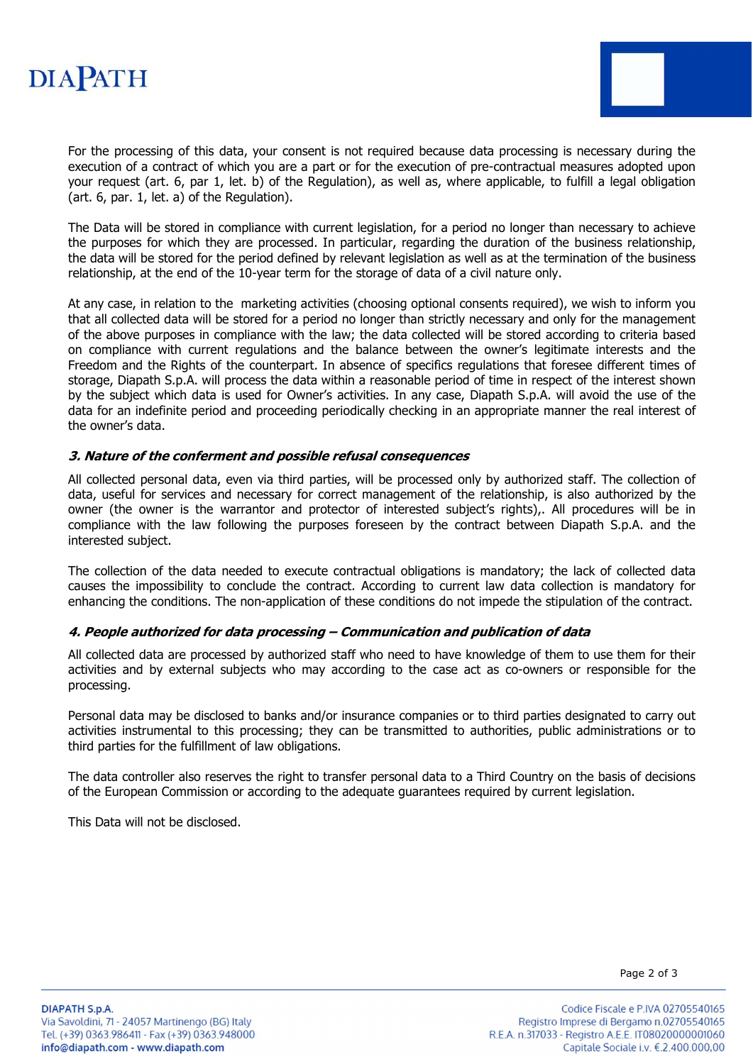## **DIAPATH**



For the processing of this data, your consent is not required because data processing is necessary during the execution of a contract of which you are a part or for the execution of pre-contractual measures adopted upon your request (art. 6, par 1, let. b) of the Regulation), as well as, where applicable, to fulfill a legal obligation (art. 6, par. 1, let. a) of the Regulation).

The Data will be stored in compliance with current legislation, for a period no longer than necessary to achieve the purposes for which they are processed. In particular, regarding the duration of the business relationship, the data will be stored for the period defined by relevant legislation as well as at the termination of the business relationship, at the end of the 10-year term for the storage of data of a civil nature only.

At any case, in relation to the marketing activities (choosing optional consents required), we wish to inform you that all collected data will be stored for a period no longer than strictly necessary and only for the management of the above purposes in compliance with the law; the data collected will be stored according to criteria based on compliance with current regulations and the balance between the owner's legitimate interests and the Freedom and the Rights of the counterpart. In absence of specifics regulations that foresee different times of storage, Diapath S.p.A. will process the data within a reasonable period of time in respect of the interest shown by the subject which data is used for Owner's activities. In any case, Diapath S.p.A. will avoid the use of the data for an indefinite period and proceeding periodically checking in an appropriate manner the real interest of the owner's data.

#### 3. Nature of the conferment and possible refusal consequences

All collected personal data, even via third parties, will be processed only by authorized staff. The collection of data, useful for services and necessary for correct management of the relationship, is also authorized by the owner (the owner is the warrantor and protector of interested subject's rights),. All procedures will be in compliance with the law following the purposes foreseen by the contract between Diapath S.p.A. and the interested subject.

The collection of the data needed to execute contractual obligations is mandatory; the lack of collected data causes the impossibility to conclude the contract. According to current law data collection is mandatory for enhancing the conditions. The non-application of these conditions do not impede the stipulation of the contract.

#### 4. People authorized for data processing – Communication and publication of data

All collected data are processed by authorized staff who need to have knowledge of them to use them for their activities and by external subjects who may according to the case act as co-owners or responsible for the processing.

Personal data may be disclosed to banks and/or insurance companies or to third parties designated to carry out activities instrumental to this processing; they can be transmitted to authorities, public administrations or to third parties for the fulfillment of law obligations.

The data controller also reserves the right to transfer personal data to a Third Country on the basis of decisions of the European Commission or according to the adequate guarantees required by current legislation.

This Data will not be disclosed.